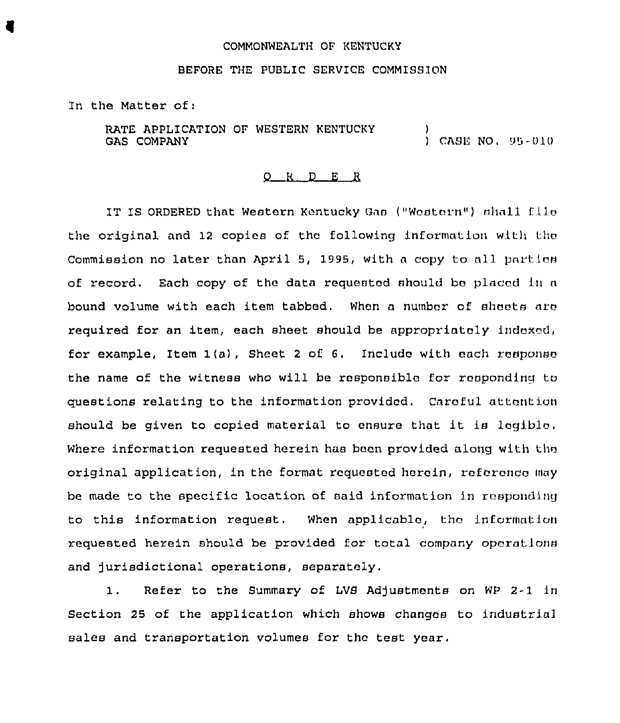## COMMONWEALTH OF KENTUCKY

## BEFORE THE PUBLIC SERVICE COMMISSION

In the Matter of:

RATE APPLICATION OF WESTERN KENTUCKY GAS COMPANY ,<br>) CASE NO, 95-010

## g R <sup>D</sup> E R

IT IS ORDERED that Western Kentucky Gas ("Western") »hall file the original and 12 copies of thc following information with thc Commission no later than April 5, 1995, with a copy to all parties of record. Each copy of the data requested should be placed in a bound volume with each item tabbed. When a number of sheets are required for an item, each sheet should be appropriately indexed, for example, Item  $1(a)$ , Sheet 2 of 6. Include with each response the name of the witness who will be responsible for responding to questions relating to the information provided. Careful attention should be given to copied material to ensure that it is legible, Where information requested herein has been provided along with the original application, in the format requested herein, reference may be made to the specific location of said information in responding to this information request. When applicable, the information requested herein should be provided for total company operations and jurisdictional operations, separately.

1. Refer to the Summary of LVS Adjustments on WP 2-1 in section 25 of the application which shows changes to industria1 sales and transportation volumes for the test year.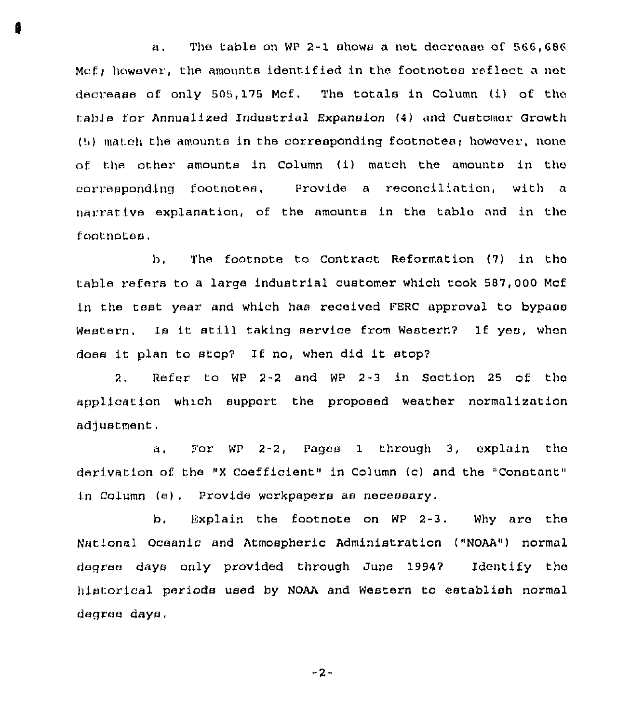The table on WP 2-1 shows a net decrease of 566,686  $a_{1}$ Mcf; however, the amounts identified in the footnotes reflect a net decrease of only 505, 175 Mcf. The totals in Column (i) of the tab]e for Annualized Industrial Expansion (4) and Customer Growth  $(5)$  match the amounts in the corresponding footnotes; however, none of the other amounts in Column (i) match the amounts in the corresponding footnotes, Provide a reconciliation, with <sup>n</sup> narrative explanation, of the amounts in the table and in the footnotes,

b, The footnote to Contract Reformation (7) in thc table refers to a large industrial customer which took 587,000 Mcf I.n the test year. and which has received PERC approval to bypass Western, Is it still taking service from Western? If yea, when does it plan to stop? If no, when did it stop?

2, Refer to WP 2-2 and WP 2-3 in Section 25 of thc application which support the proposed weather normalization adjustment.

a, Por WP 2-2, Pages 1 through 3, explain the derivation of the "X Coefficient" in Column (c) and the "Constant" in Column (e), Provide workpapers as necessary,

b. Explain the footnote on WP 2-3. Why are the National Oceanic and Atmospheric Administration ("NOAA") normal degree days only provided through June 1994? Identify the historical periods used by NOAA and Western to establish normal degree days,

-2-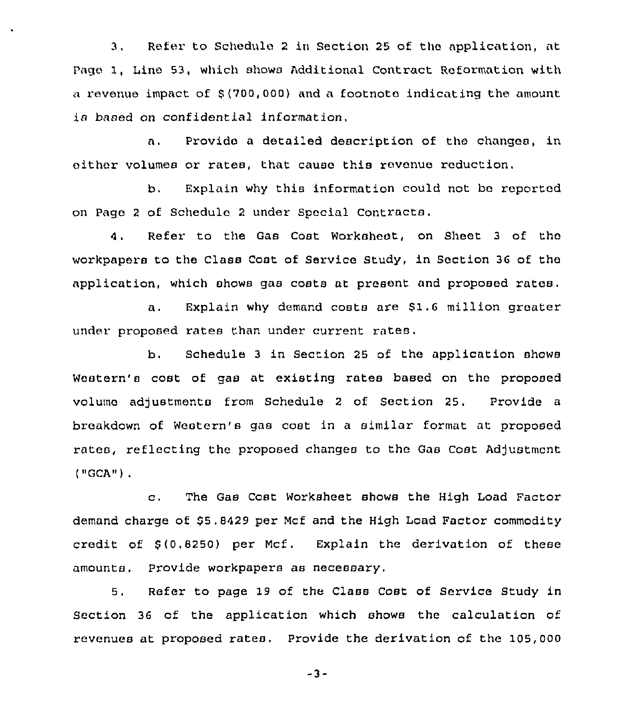3. Refer to Schedule 2 in Section 25 of the application, at Page 1, Line 53, which showa Additional Contract Reformation with a revenue impact of \$ (700,000) and a footnote indicating the amount is based on confidential information.

Provide a detailed description of the changes, in  $\mathbf{a}$ . either volumes or rates, that cause this revenue reduction.

b. Explain why this information could not be reported on Page <sup>2</sup> of Schedule 2 under Special Contracts.

Refer to the Gas Cost Worksheet, on Sheet <sup>3</sup> of the 4. workpapera to the Class Coat of Service Study, in Section 36 of the application, which shows gas costs at present and proposed rates.

a. Explain why demand costs are \$1.6 million greater under proposed rates than under current rates.

b. Schedule 3 in Section 25 of the application shows Western's cost of gas at existing rates based on the proposed volume adjustments from Schedule 2 of Section 25. Provide a breakdown of Western's gas cost in a similar format at proposed rates, reflecting the proposed changes to the Gas Cost Adjustment ( IiGCA<< )

c, The Gas Cost Worksheet shows the High Load Factor demand charge of \$5.8429 per Mcf and the High Load Factor commodity credit of \$ (0,8250) per Mcf. Explain the derivation of these amounts. Provide workpapers as necessary,

5. Refer to page 19 of the Class Cost of Service Study in Section 36 of the application which shows the calculation of revenues at proposed rates. Provide the derivation of the 105,000

-3-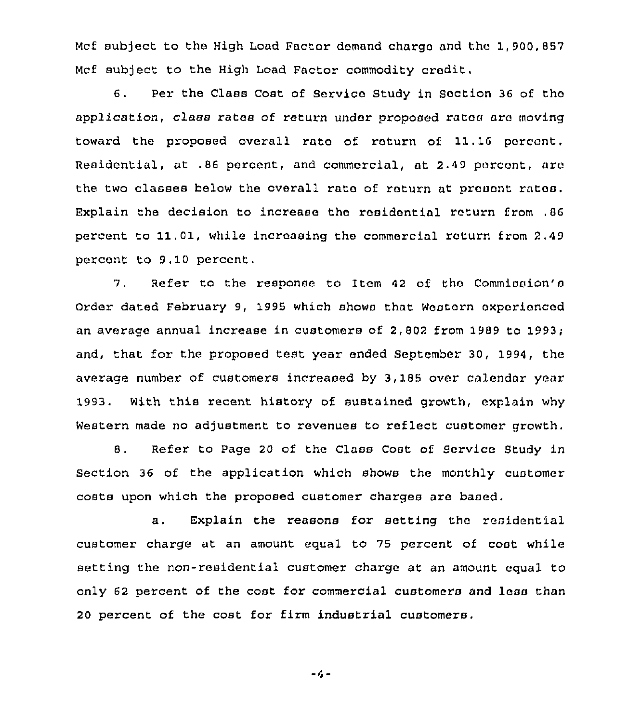Mcf subject to the High Load Factor demand charge and tho 1,900,857 Mcf subject to the High Load Factor commodity credit.

6. Per the Class Coat of Service Study in Section 36 of tho application, class rates of return under proposed rates aro moving toward the proposed overall rate of roturn of 11.16 percent, Residential, at .86 percent, and commercial, at 2.49 porcont, are the two classes below the overall rate of roturn at prouont ratos. Explain the decision to increase the residontial roturn from ,86 percent to 11.01, while increasing the commercial roturn from 2,49 percent to 9.10 percent.

7. Refer to the response to Item 42 of the Commission's Order dated February 9, 1995 which shows that Western experienced an average annual increase in customers of 2,802 from 1989 to 1993; and, that for the proposed test year ended September 30, 1994, the average number of customers increased by 3, 185 over calendar year 1993, With this recent history of sustained growth, explain why Western made no adjustment to revenues to reflect customer growth.

8, Refer to Page 20 of the Class Cost of Service Study in Section 36 of the application which shows the monthly customer costs upon which the proposed customer charges are baaed.

a. Explain the reasons for setting the residential customer charge at an amount equal to 75 percent of cost while Betting the non-residential customer charge at an amount equal to only 62 percent of the coat for commercial customers and less than 20 percent of the cost for firm industrial customers.

$$
-4-
$$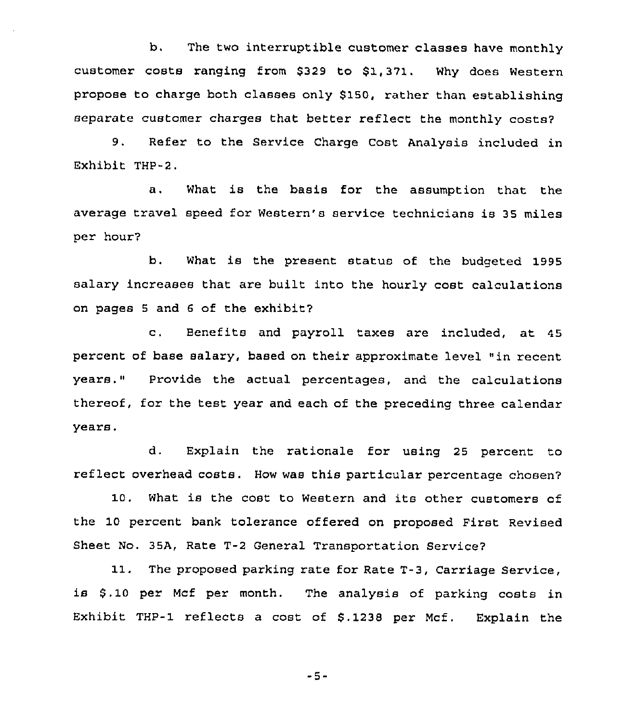b. The two interruptible customer classes have monthly customer costs ranging from \$329 to \$1,371. Why does Western propose to charge both classes only \$150, rather than establishing separate customer charges that better reflect the monthly costs?

9. Refer to the Service Charge Cost Analysis included in Exhibit THP-2.

a. What is the basis for the assumption that the average travel speed for Western's service technicians is 35 miles per hour?

b. What is the present status of the budgeted 1995 salary increases that are built into the hourly cost calculations on pages <sup>5</sup> and <sup>6</sup> of the exhibit?

c. Benefits and payroll taxes are included, at <sup>45</sup> percent of base salary, based on their approximate level "in recent years." Provide the actual percentages, and the calculations thereof, for the test year and each of the preceding three calendar years.

d. Explain the rationale for using 25 percent to reflect overhead costs. How was this particular percentage chosen?

10. What is the cost to Western and its other customers of the 10 percent bank tolerance offered on proposed First Revised Sheet No. 35A, Rate T-2 General Transportation Service7

11. The proposed parking rate for Rate T-3, Carriage Service, is \$ . 10 per Mcf per month. The analysis of parking costs in Exhibit THP-1 reflects a cost of \$.1238 per Mcf. Explain the

-5-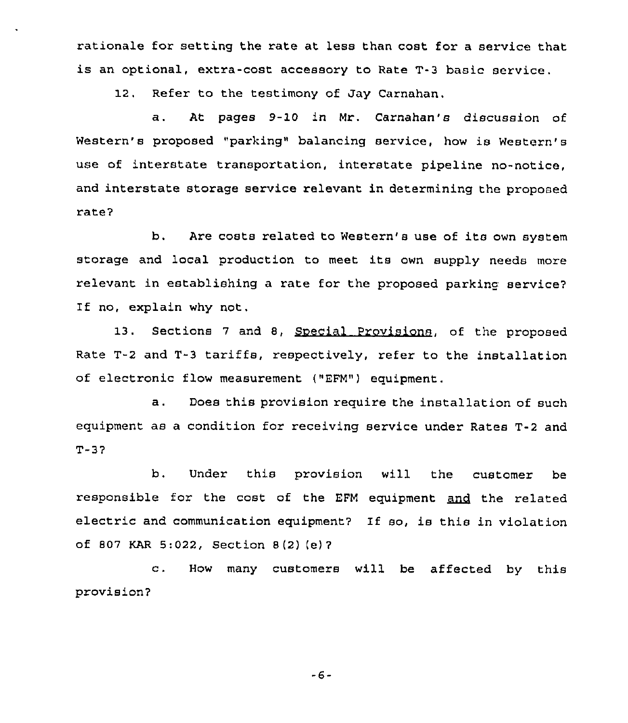rationale for setting the rate at less than cost for a service that is an optional, extra-cost accessory to Rate T-3 basic service.

12. Refer to the testimony of Jay Carnahan.

a. At pages 9-10 in Mr. Carnahan's discussion of Western's proposed "parking" balancing service, how is Western's use of interstate transportation, interstate pipeline no-notice, and interstate storage service relevant in determining the proposed rate7

b. Are costs related to Western's use of its own system storage and local production to meet its own supply needs more relevant in establishing a rate for the proposed parking service? If no, explain why not.

13. Sections 7 and 8, Special Provisions, of the proposed Rate T-2 and T-3 tariffs, respectively, refer to the installation of electronic flow measurement ("EFM") equipment.

a. Does this provision require the installation of such equipment as a condition for receiving service under Rates T-2 and T-37

b. Under this provision will the customer be responsible for the cost of the EFM equipment and the related electric and communication equipment7 If so, is this in violation of 807 KAR 5:022, Section <sup>8</sup> (2) (e) <sup>7</sup>

c. How many customers will be affected by this provision7

-6-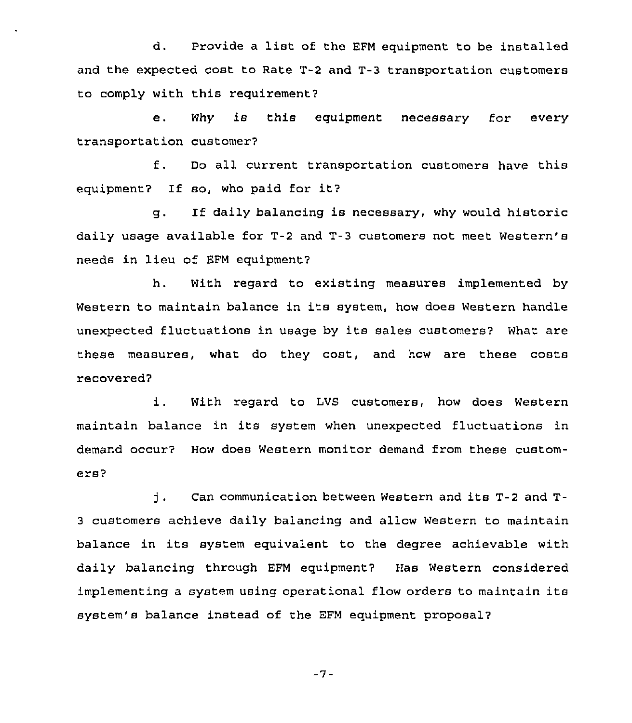d. Provide <sup>a</sup> list of the EFM equipment to be installed and the expected cost to Rate T-2 and T-3 transportation customers to comply with this requirement?

e. Why is this equipment necessary for every transportation customer7

f. Do all current transportation customers have this equipment? If so, who paid for it?

g. If daily balancing is necessary, why would historic daily usage available for T-2 and T-3 customers not meet Western'8 needs in lieu of EFM equipment7

h. With regard to existing measures implemented by Western to maintain balance in its system, how does Western handle unexpected fluctuations in usage by its sales customers7 What are these measures, what do they cost, and how are these costs recovered7

i. With regard to LVS customers, how does Western maintain balance in its system when unexpected fluctuations in demand occur? How does Western monitor demand from these customers?

j . Can communication between Western and its T-2 and T-<sup>3</sup> customers achieve daily balancing and allow Western to maintain balance in its system equivalent to the degree achievable with daily balancing through EFM equipment? Has Western considered implementing <sup>a</sup> system using operational flow orders to maintain its system's balance instead of the EFM equipment proposal?

$$
-7-
$$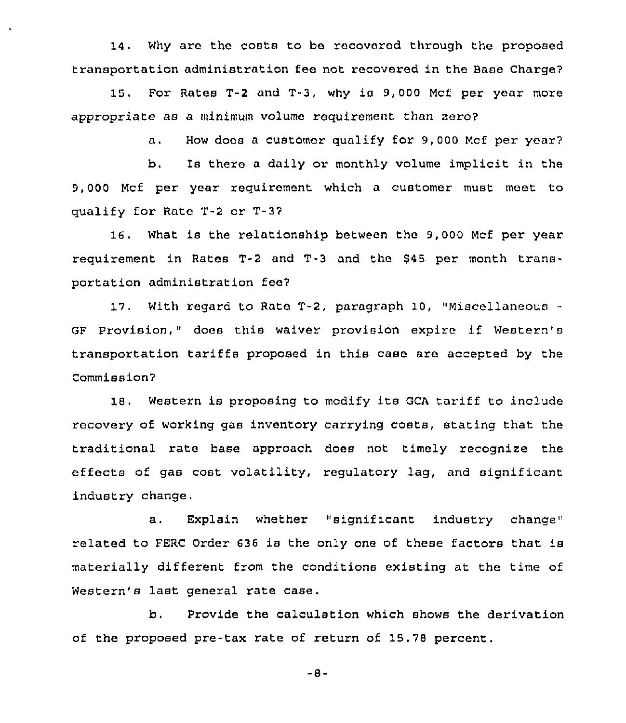14. Why are thc costs to be recovered through the proposed transportation administration feo not recovered in the Base Charge7

15. For Rates T-2 and T-3, why is 9, 000 Mcf per year more appropriate as a minimum volume requirement than zero?

a. How docs <sup>a</sup> customer qualify for 9,000 Mcf per year7

b. Is there a daily or monthly volume implicit in the 9,000 Mcf per year requirement which a customer must meet to qualify for Rate T-2 or T-37

16. What is the relationship between the 9,000 Mcf per year requirement in Rates T-2 and T-3 and the \$45 per month transportation administration fee7

17. With regard to Rate T-2, paragraph 10, "Miscellaneous GF Provision," does this waiver provision expire if Western's transportation tariffs proposed in this case are accepted by the Commission'7

18. Western is proposing to modify its GCA tariff to include recovery of working gas inventory carrying costs, stating that the traditional rate base approach does not timely recognize the effects of gas cost volatility, regulatory lag, and significant industry change.

a. Explain whether "significant industry change" related to FERC Order 636 is the only one of these factors that is materially different from the conditions existing at the time of Western's last general rate case.

b. Provide the calculation which shows the derivation of the proposed pre-tax rate of return of 15.78 percent.

 $-8-$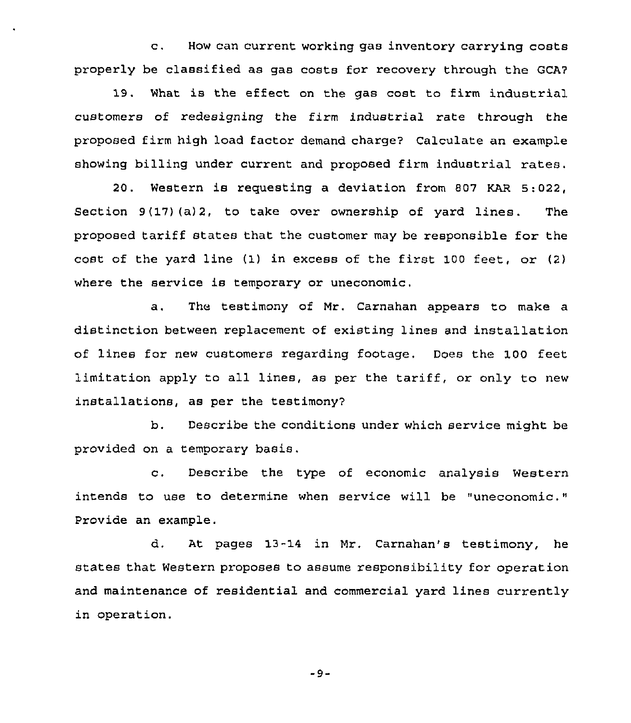c. How can current working gas inventory carrying costs properly be classified as gas costs for recovery through the GCA7

19. What is the effect on the gas cost to firm industrial customers of redesigning the firm industrial rate through the proposed firm high load factor demand charge? Calculate an example showing billing under current and proposed firm industrial rates.

20. Western is requesting a deviation from 807 KAR 5:022, Section  $9(17)$  (a) 2, to take over ownership of yard lines. The proposed tariff states that the customer may be responsible for the cost of the yard line (1) in excess of the first 100 feet, or (2) where the service is temporary or uneconomic.

a, The testimony of Mr. Carnahan appears to make a distinction between replacement of existing lines and installation of lines for new customers regarding footage. Does the 100 feet limitation apply to all lines, as per the tariff, or only to new installations, as per the testimony7

b. Describe the conditions under which service might be provided on a temporary basis.

c. Describe the type of economic analysis Western intends to use to determine when service will be "uneconomic." Provide an example.

d. At pages 13-14 in Mr. Carnahan's testimony, he states that Western proposes to assume responsibility for operation and maintenance of residential and commercial yard lines currently in operation.

 $-9-$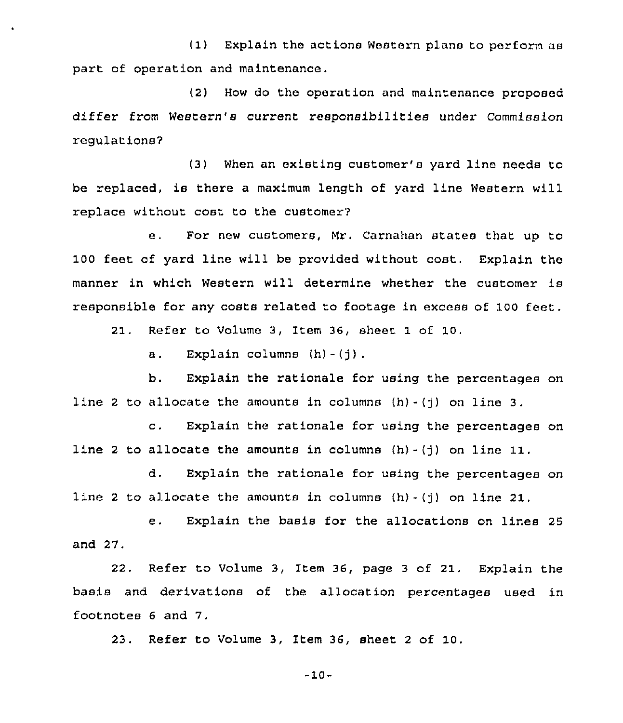(1) Explain the actions Western plans to perform as part of operation and maintenance.

(2) How do the operation and maintenance proposed differ from Western's current responsibilities under Commission regulations7

(3) When an existing customer's yard line needs to be replaced, is there <sup>a</sup> maximum length of yard line Western will replace without cost to the customer?

e. For new customers, Mr, Carnahan states that up to 100 feet of yard line will be provided without cost. Explain the manner in which Western will determine whether the customer is responsible for any costs related to footage in excess of 100 feet.

21. Refer to Volume 3, Item 36, sheet 1 of 10.

a. Explain columns  $(h) - (j)$ .

b. Explain the rationale for using the percentages on line 2 to allocate the amounts in columns  $(h) - (1)$  on line 3.

c. Explain the rationale for using the percentages on line 2 to allocate the amounts in columns  $(h) - (j)$  on line 11.

d. Explain the rationale for using the percentages on line 2 to allocate the amounts in columns  $(h) - (i)$  on line 21,

e. Explain the basis for the allocations on lines <sup>25</sup> and 27.

22. Refer to Volume 3, Item 36, page 3 of 21. Explain the basis and derivations of the allocation percentages used in footnotes <sup>6</sup> and 7.

23. Refer to Volume 3, Item 36, sheet <sup>2</sup> of 10.

-10-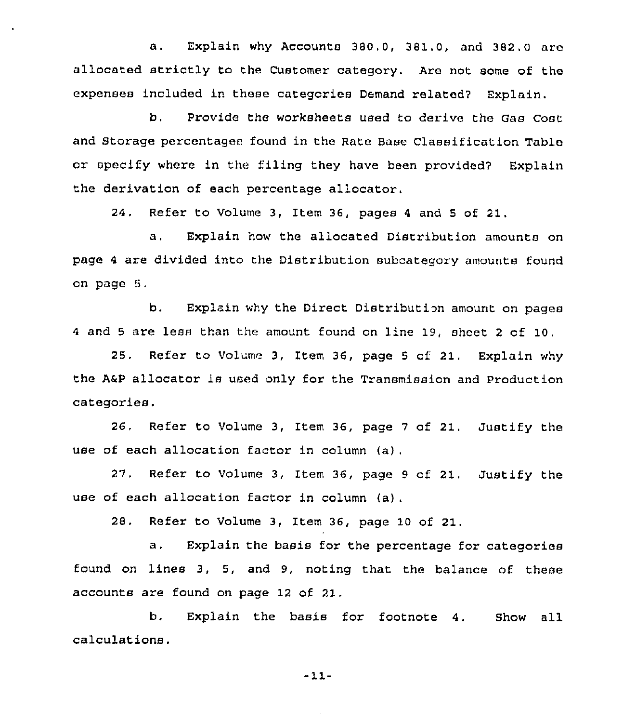a. Explain why Accounts 380,0, 381.0, and 382,0 arc allocated strictly to the Customer category. Are not some of the expenses included in these categories Demand related7 Explain.

b. Provide the worksheets used to derive the Gas Cost and Storage percentages found in the Rate Base Classification Table or specify where in the filing they have been provided7 Explain the derivation of each percentage allocator.

24. Refer to Volume 3, Item 36, pages <sup>4</sup> and <sup>5</sup> of 21.

a. Explain how the allocated Distribution amounts on page <sup>4</sup> are divided into the Distribution subcategory amounts found on page 5,

b. Explain why the Direct Distribution amount on pages <sup>4</sup> and <sup>5</sup> are less than the amount found on line 19, sheet <sup>2</sup> of 10.

25. Refer to Volume 3, Item 36, page <sup>5</sup> of 21. Explain why the A&P allocator is used only for the Transmission and Production categories.

26, Refer to Volume 3, Item 36, page 7 of 21. Justify the use of each allocation factor in column (a).

27, Refer to Volume 3, Item 36, page <sup>9</sup> of 21. Justify the use of each allocation factor in column (a}.

28. Refer to Volume 3, Item 36, page 10 of 21.

a. Explain the basis for the percentage for categories found on lines 3, 5, and 9, noting that the balance of these accounts are found on page 12 of 21.

b. Explain the basis for footnote 4. Show all calculations.

-11-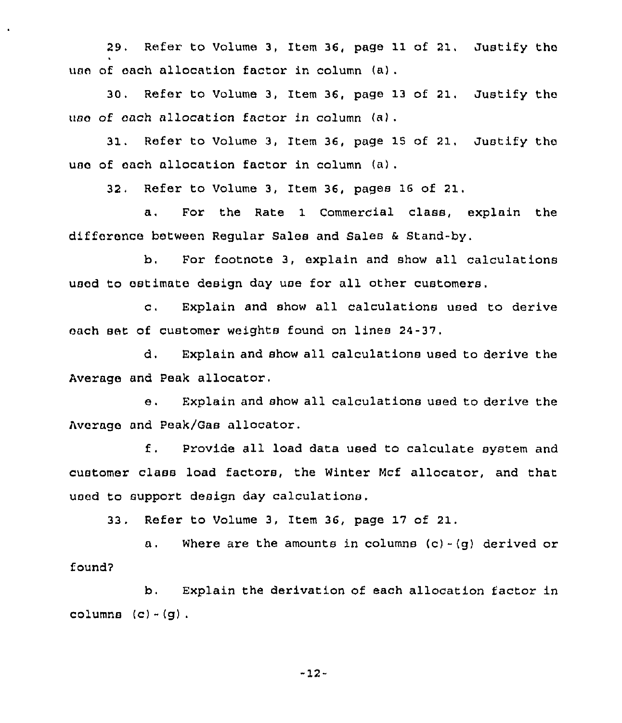29. Refer to Volume 3, Item 36, page 11 of 21. Justify the use of each allocation factor in column (a).

30. Refer to Volume 3, Item 36, page 13 of 21. Justify the use of each allocation factor in column  $(a)$ .

31. Refer to Volume 3, Item 36, page IS of 21, Justify the use of each allocation factor in column (a).

32, Refer to Volume 3, Item 36, pages 16 of 21,

a. For the Rate 1 Commercial class, explain the difference between Regular Sales and Sales <sup>6</sup> Stand-by.

b. For footnote 3, explain and show all calculations used to estimate design day use for all other customers.

c. Explain and show all calculations used to derive each set of customer weights found on lines 24-37.

d. Explain and show all calculations used to derive the Average and Peak allocator.

e. Explain and show all calculations used to derive the Average and Peak/Gas allocator.

f, Provide all load data used to calculate system and customer class load factors, the Winter Mcf allocator, and that used to support design day calculations.

33. Refer to Volume 3, Item 36, page 17 of 21.

a. Where are the amounts in columns  $(c) - (q)$  derived or found7

b. Explain the derivation of each allocation factor in columns  $(c) - (g)$ .

-12-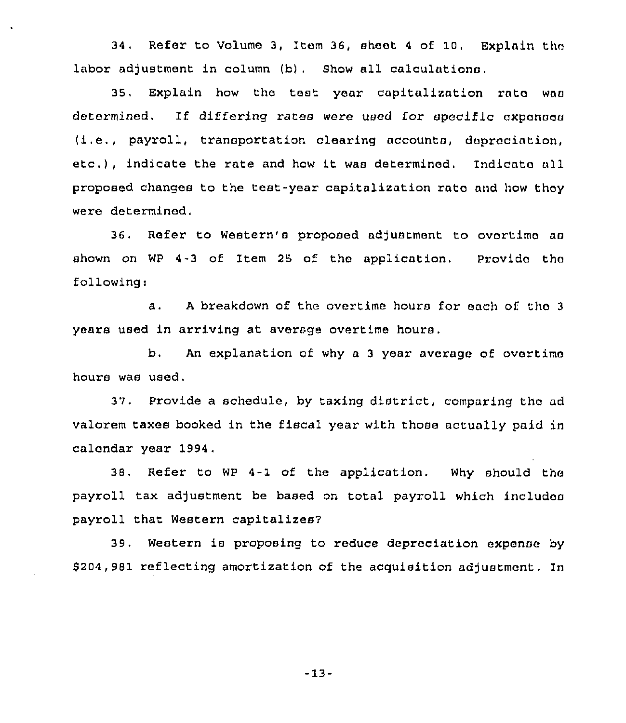34, Refer to Volume 3, Item 36, sheet <sup>4</sup> of 10. Explain thn labor adjustment in column (b). Show all calculations.

35, Explain how the test year capitalization rnto was determined. If differing rates were used for specific oxponses (i.e., payroll, transportation clearing accounts, depreciation, etc. ), indicate the rate and how it was determined. Indicate all proposed changes to the test-year capitalization rate and how thoy were determined,

36. Refer to Western's proposed adjustment to ovortimo as shown on WP 4-3 of Item 25 of the application. Provido tho following:

a. <sup>A</sup> breakdown of the overtime hours for each of tho <sup>3</sup> years used in arriving at average overtime hours.

b, An explanation of why a <sup>3</sup> year average of overtime hours was used,

37. Provide a schedule, by taxing district, comparing the ad valorem taxes booked in the fiscal year with those actually paid in calendar year 1994.

38. Refer to WP 4-1 of the application. Why should tho payroll tax adjustment be based on total payroll which includos payroll that Western capitalizes7

39. Western is proposing to reduce depreciation expense by \$204,981 reflecting amortization of the acquisition adjustment. In

-13-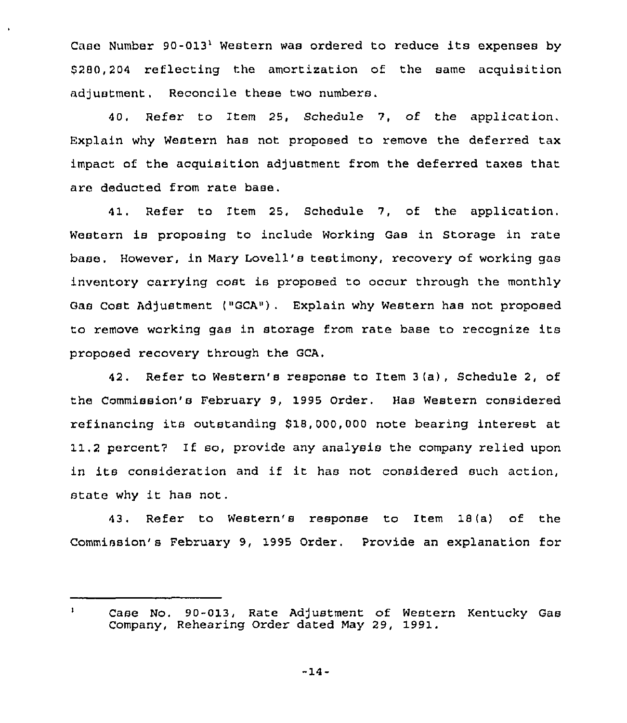Case Number  $90-013$ <sup>1</sup> Western was ordered to reduce its expenses by  $$280.204$  reflecting the amortization of the same acquisition adjustment. Reconcile these two numbers.

40, Refer to Item 25, Schedule 7, of the application. Explain why Western has not proposed to remove the deferred tax impact of the acquisition adjustment from the deferred taxes that are deducted from rate base.

41. Refer to Item 25, Schedule 7, of the application. Western is proposing to include Working Gas in Storage in rate base, However, in Mary Lovell's testimony, recovery of working gas inventory carrying cost is proposed to occur through the monthly Gas Cost Adjustment ("GCA"). Explain why Western has not proposed to remove working gas in storage from rate base to recognize its proposed recovery through the GCA,

42. Refer to Western's response to Item 3(a), Schedule 2, of the Commission's February 9, 1995 Order. Has Western considered refinancing its outstanding 818, 000,000 note bearing interest at 11.2 percent7 If so, provide any analysis the company relied upon in its consideration and if it has not considered such action, state why it has not.

43. Refer to Western's response to Item 18(a) of the Commission's February 9, 1995 Order. Provide an explanation for

-14-

 $\mathbf{1}$ Case No. 90-013, Rate Adjustment of Western Kentucky Gas Company, Rehearing Order dated May 29, 1991.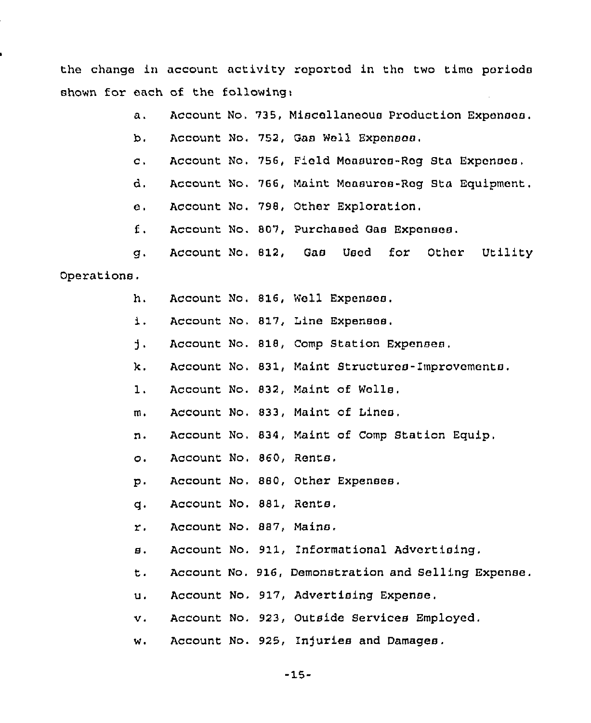the change in account activity reported in tho two time periods shown for each of the following:

- a. Account No, 735, Miscellaneous Production Expenses.
- b. Account No, 752, Gas Well Expenses.
- Account No, 756, Pield Measures-Reg Sta Expenses,  $c.$
- d, Account No. 766, Maint Measures-Rog Sta Equipment.
- e. Account No. 798, Other Exploration.
- Account No. 807, Purchased Gas Expenses. f.
- Account No, 812, Gas Used for Other Utility q. Operations,
	- Account No, 816, Well Expenses. h.
	- $\mathbf{1}$ . Account No, 817, Line Expenses.
	- $\mathbf{1}$ . Account No. 818, Comp Station Expenses,
	- κ. Account No, 831, Maint Structures-Improvements,
	- $1<sub>1</sub>$ Account No. 832, Maint of Wells.
	- Account No. 833, Maint of Lines,  $m<sub>1</sub>$
	- n. Account No, 834, Maint of Comp Station Equip,
	- Account No. 860, Rents,  $\circ$ .
	- $p$ . Account No. 880, Other Expenses.
	- Account No. 881, Rents,  $\mathbf{a}$ .
	- $\mathbf{r}$ . Account No. 887, Mains.
	- Account No. 911, Informational Advertising.  $\mathbf{B}$ .
	- t. Account No. 916, Demonstration and Selling Expense.
	- Account No. 917, Advertising Expense.  $\mathbf{u}$ .
	- Account No. 923, Outside Services Employed.  $\mathbf{v}$ .
	- Account No. 925, Injuries and Damages.w.

 $-15-$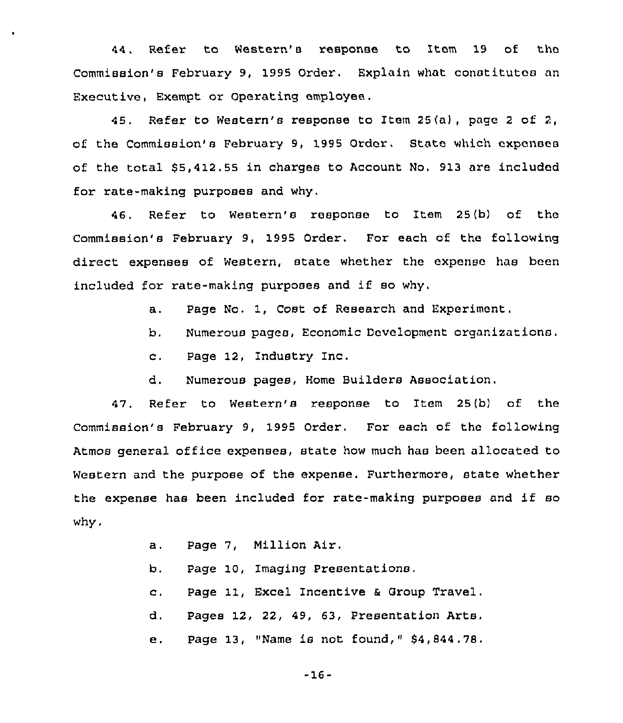44, Refer to Western's response to Item 19 of the Commission's February 9, 1995 Order, Explain what constitutes an Executive, Exempt or Operating employee.

45, Refer to Western's response to Item 25(a), page <sup>2</sup> of 2, of the Commission's February 9, 1995 Order, State which expenses of the total \$5,412.55 in charges to Account No. 913 are included for rate-making purposes and why,

46, Refer to Western's response to Item 25(b) of the Commission's February 9, 1995 Order. For each of the following direct expenses of Western, state whether the expense has been included for rate-making purposes and if so why.

- a. Page No. 1, Cost of Research and Experiment,
- b. Numerous pages, Economic Development organizations.
- c. Page 12, Industry Inc.

 $\bullet$ 

d. Numerous pages, Home Builders Association.

47. Refer to Western's response to Item 25(b) of the Commission's February 9, 1995 Order. For each of the following Atmos general office expenses, state how much has been allocated to Western and the purpose of the expense. Furthermore, state whether the expense has been included for rate-making purposes and if so why,

| а.       | Page 7, Million Air.                      |
|----------|-------------------------------------------|
| b.       | Page 10, Imaging Presentations.           |
| $\sim$ . | Page 11, Excel Incentive & Group Travel.  |
| d.       | Pages 12, 22, 49, 63, Presentation Arts.  |
| е.       | Page 13, "Name is not found," \$4,844.78. |

-16-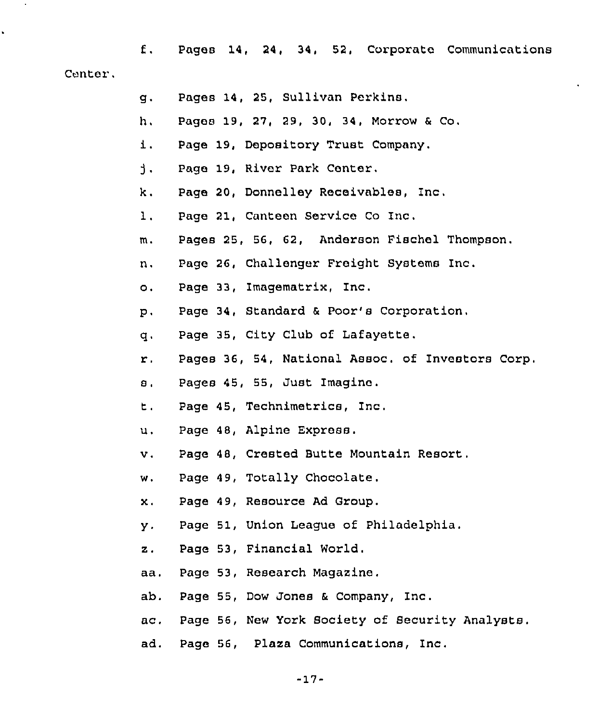f. Pages 14, 24, 34, 52, Corporate Communications Center.

- g. Pages 14, 25, Sullivan Perkins.
- h, Pages 19, 27, 29, 30, 34, Morrow & Co.
- i. Page 19, Depository Trust Company.
- $\mathbf{j}$ . Page 19, River Park Center.
- k. Page 20, Donnelley Receivables, Inc,
- 1. Page 21, Canteen Service Co Inc.
- m, Pages 25, 56, G2, Anderson Fischel Thompson,
- n. Page 2G, Challenger Freight Systems Inc.
- o. Page 33, Imagematrix, Inc.
- p. Page 34, Standard & Poor's Corporation,
- q. Page 35, City Club of Lafayette.
- r, Pages 36, 54, National Assoc. of Investors Corp.
- s. Pages 45, 55, Just Imagine.
- t. Page 45, Technimetrics, Inc,
- u. Page 48, Alpine Express.
- v. Page 48, Crested Butte Mountain Resort.
- w. Page 49, Totally Chocolate.
- x. Page 49, Resource Ad Group.
- y. Page 51, Union League of Philadelphia.
- z. Page 53, Financial World.
- aa. Page 53, Research Magazine.
- ab. Page 55, Dow Jones & Company, Inc.
- ac. Page 56, New York Society of Security Analysts.
- ad. Page 56, Plaza Communications, Inc.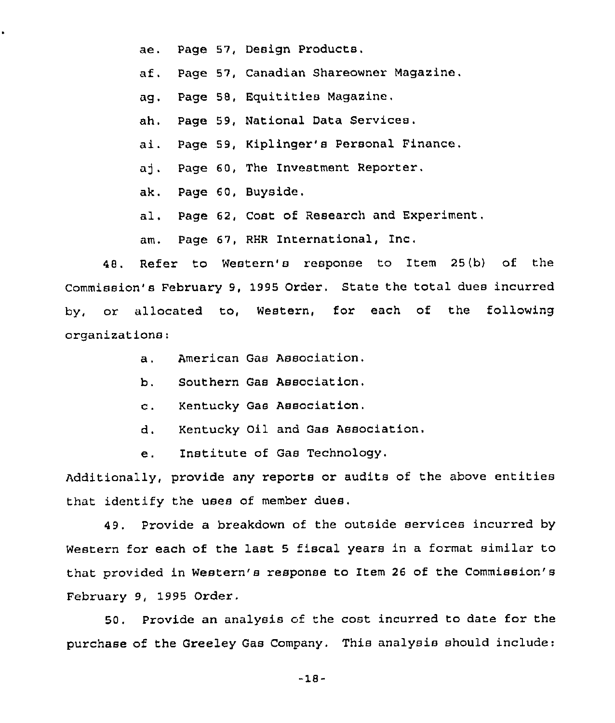ae, Page 57, Design Products,

af. Page 57, Canadian Shareowner Magazine.

ag. Page 58, Equitities Magazine.

ah, Page 59, National Data Services.

ai. Page 59, Kiplinger's Personal Finance,

aj. Page 60, The Investment Reporter.

ak. Page 60, Buyside,

al, Page 62, Cost of Research and Experiment.

am. Page 67, RHR International, Inc,

48. Refer to Western's response to Item 25(b) of the Commission's February 9, 1995 Order. State the total dues incurred by, or allocated to, Western, for each of the following organizations:

- a. American Gas Association.
- b. Southern Gas Association.
- c. Kentucky Gas Association.
- d. Kentucky Oil and Gas Association.
- e. Institute of Gas Technology.

Additionally, pxovide any reports or audits of the above entities that identify the uses of member dues,

49. Provide a breakdown of the outside services incurred by Western for each of the last <sup>5</sup> fiscal years in a format similar to that provided in Western's response to Item 26 of the Commission's February 9, 1995 Order.

50, Provide an analysis of the cost incurred to date for the purchase of the Greeley Gas Company. This analysis should include:

-18-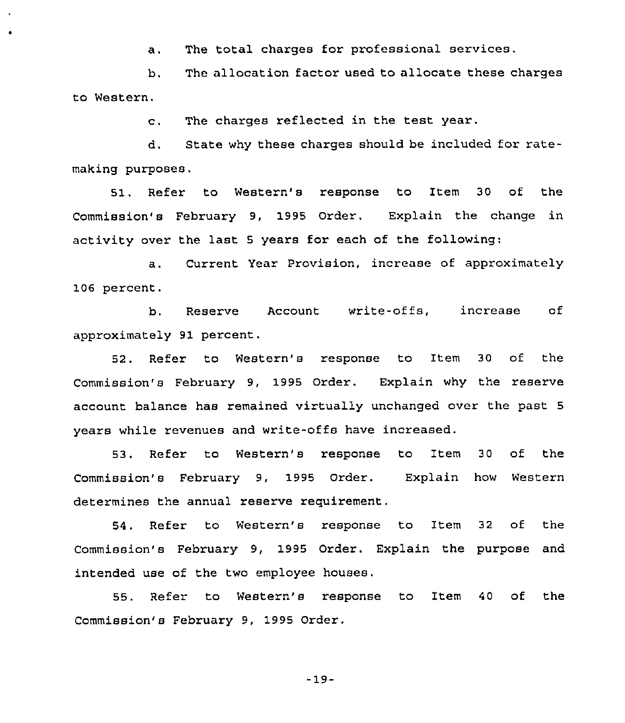a. The total charges for professional services.

b, The allocation factor used to allocate these charges to Western.

c. The charges reflected in the test year.

d. State why these charges should be included for ratemaking purposes.

51. Refer to Western's response to Item 30 of the Commission's February 9, 1995 Order. Explain the change in activity over the last <sup>5</sup> years for each of the following:

a. Current Year Provision, increase of approximately 106 percent.

b. Reserve Account write-offs, increase of approximately 91 percent.

52, Refer to Western's response to Item 30 of the Commission's February 9, 1995 Order. Explain why the reserve account balance has remained virtually unchanged over the past <sup>5</sup> years while revenues and write-offs have increased.

53. Refer to Western's response to Item 30 of the Commission's February 9, 1995 Order. Explain how Western determines the annual reserve requirement.

54. Refer to Western's response to Item 32 of the Commission's February 9, 1995 Order. Explain the purpose and intended use of the two employee houses.

55. Refer to Western's response to Item 40 of the Commission's February 9, 1995 Order.

-19-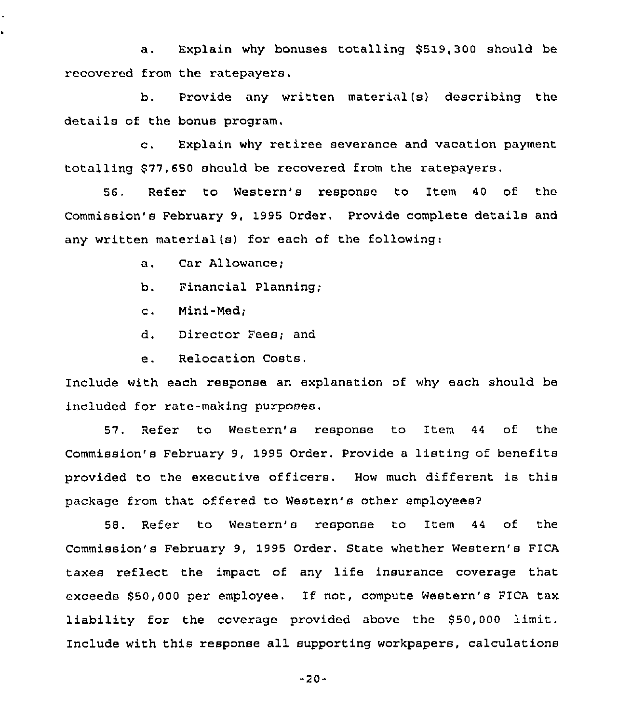a. Explain why bonuses totalling \$519,300 should be recovered from the ratepayers.

b. Provide any written material(s) describing the details of the bonus program,

c. Explain why retiree severance and vacation payment totalling \$ 77,650 should be recovered from the ratepayers.

56, Refer to Western's response to Item 40 of the Commission's February 9, 1995 Order, Provide complete details and any written material(s) for each of the following:

a. Car Allowance;

b. Financial Planning;

c. Mini-Ned;

d. Director Fees; and

e. Relocation Costs,

Include with each response an explanation of why each should be included for rate-making purposes.

57. Refer to Western's response to Item 44 of the Commission's February 9, 1995 Order. Provide <sup>a</sup> listing of benefits provided to the executive officers, How much different is this package from that offered to Western's other employees?

58. Refer to Western's response to Item 44 of the Commission's February 9, 1995 Order. State whether Western's FICA taxes reflect the impact of any life insurance coverage that exceeds \$50,000 per employee. If not, compute Western's PICA tax liability for the coverage provided above the \$50,000 limit. Include with this response all supporting workpapers, calculations

-20-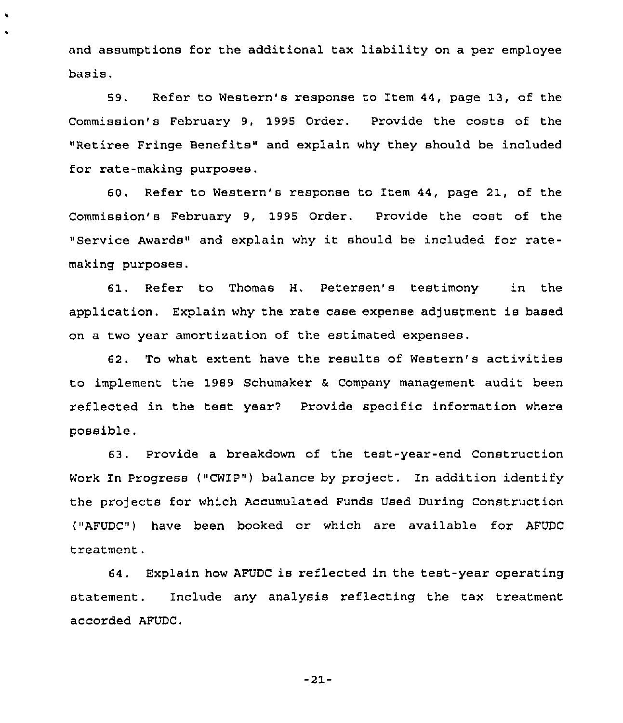and assumptions for the additional tax liability on a per employee basis.

 $\cdot$ 

59. Refer to Western's response to Item 44, page 13, of the Commission's February 9, 1995 Order. Provide the costs of the "Retiree Fringe Benefits" and explain why they should be included for rate-making purposes.

60. Refer to Western's response to Item 44, page 21, of the Commission's February 9, 1995 Order, Provide the cost of the "Service Awards" and explain why it should be included for ratemaking purposes.

61. Refer to Thomas H. Petersen's testimony in the application. Explain why the rate case expense adjustment is based on a two year amortization of the estimated expenses.

62. To what extent have the results of Western's activities to implement the 1989 Schumaker & Company management audit been reflected in the test year'? Provide specific information where possible.

63, Provide a breakdown of the test-year-end Construction Work In Progress ("CWIP") balance by project. In addition identify the projects for which Accumulated Funds Used During Construction ("AFUDC") have been booked or which are available for AFUDC treatment.

64. Explain how AFUDC is reflected in the test-year operating statement. Include any analysis reflecting the tax treatment accorded AFUDC.

 $-21-$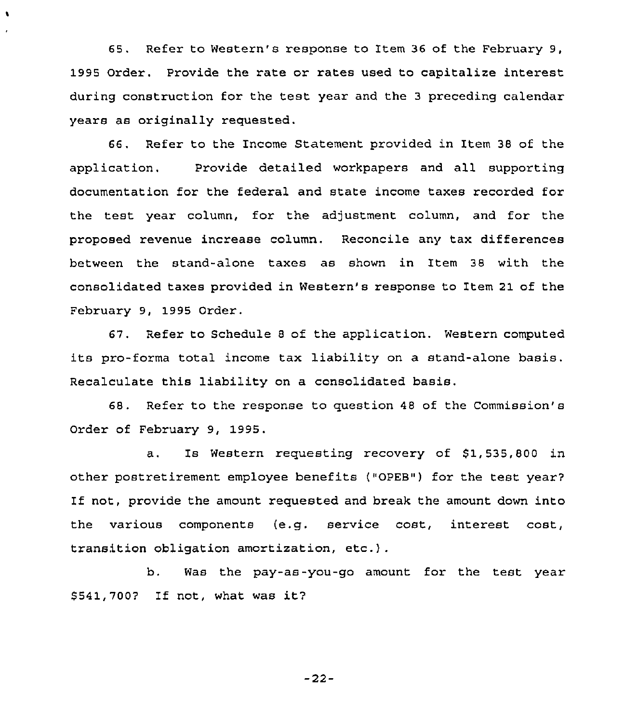65. Refer to Western's response to Item 36 of the February 9, 1995 Order. Provide the rate or rates used to capitalize interest during construction for the test year and the <sup>3</sup> preceding calendar years as originally requested.

 $\cdot$ 

66. Refer to the Income Statement provided in Item 38 of the application. Provide detailed workpapers and all supporting documentation for the federal and state income taxes recorded for the test year column, for the adjustment column, and for the proposed revenue increase column, Reconcile any tax differences between the stand-alone taxes as shown in Item 38 with the consolidated taxes provided in Western's response to Item 21 of the February 9, 1995 Order.

67. Refer to Schedule <sup>8</sup> of the application. Western computed its pro-forma total income tax liability on a stand-alone basis. Recalculate this liability on a consolidated basis.

68. Refer to the response to question 48 of the Commission's Order of February 9, 1995.

a. Is Western requesting recovery of \$1,535,800 in other postretirement employee benefits ("OPEB") for the test year7 If not, provide the amount requested and break the amount down into the various components (e.g. service cost, interest cost, transition obligation amortization, etc.}.

b. Was the pay-as-you-go amount for the test year \$541,700? If not, what was it?

—22—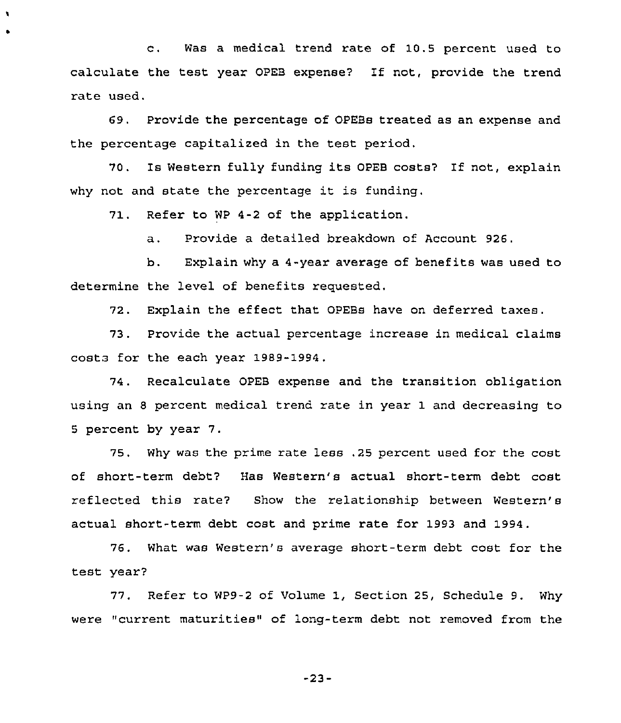c. Was <sup>a</sup> medical trend rate of 10.5 percent used to calculate the test year OPEB expense? If not, provide the trend rate used.

69, Provide the percentage of OPEBs treated as an expense and the percentage capitalized in the test period.

70. Is Western fully funding its OPEB costs? If not, explain why not and state the percentage it is funding.

71. Refer to WP 4-2 of the application.

a. Provide a detailed breakdown of Account 926.

b. Explain why a 4-year average of benefits was used to determine the level of benefits requested.

72. Explain the effect that OPEBs have on deferred taxes.

73. Provide the actual percentage increase in medical claims costa for the each year 1989-1994.

74. Recalculate OPEB expense and the transition obligation using an <sup>8</sup> percent medical trend rate in year 1 and decreasing to <sup>5</sup> percent by year 7.

75. Why was the prime rate less .25 percent used for the cost of short-term debt? Has Western's actual short-term debt cost reflected this rate? Show the relationship between Western's actual short-term debt cost and prime rate for 1993 and 1994.

76. What was Western's average short-term debt cost for the test year?

77. Refer to WP9-2 of Volume 1, Section 25, Schedule 9. Why were "current maturities" of long-term debt not removed from the

-23-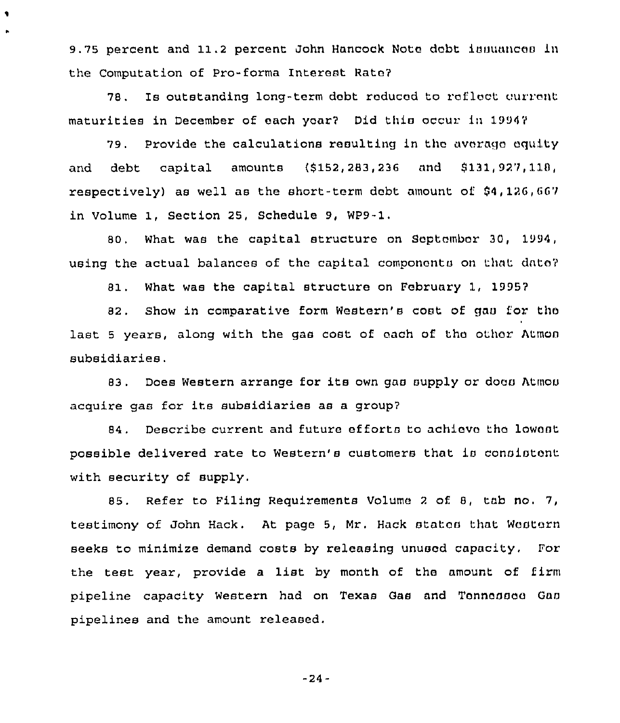9.75 percent and 11.2 percent John Hancock Note debt issuances in the Computation of Pro-forma Interest Rato7

٠

78. Is outstanding long-term debt reduced to reflect current maturities in December of each yoar7 Did this occur in 19947

79. Provide the calculations resulting in the average equity and debt capital amounts {8152,283,236 and 8131,927,118, respectively) as well as the short-term debt amount of  $$4,126,667$ in Volume 1, Section 25, Schedule 9, WP9-1,

80. What was the capital structuro on September 30, 1994, using the actual balances of the capital components on that dnto7

81. What was the capital structure on February 1, 19957

82. Show in comparative form Western's cost of gas for the last <sup>5</sup> years, along with the gas cost of each of tho othor Atmon subsidiaries.

83. Does Western arrange for its own gas supply or does Atmos acquire gas for its subsidiaries as <sup>a</sup> group7

84. Describe current and future efforts to achieve the lowest possible delivered rate to Western's customers that is consistent with security of supply.

85. Refer to Filing Requirements Volume <sup>2</sup> of 8, tab no, 7, testimony of John Hack. At page 5, Mr. Hack states that Western seeks to minimize demand costs by releasing unused capacity. For the test year, provide <sup>a</sup> list by month of the amount of firm pipeline capacity Western had on Texas Gas and Tennessee Gas pipelines and the amount released.

 $-24-$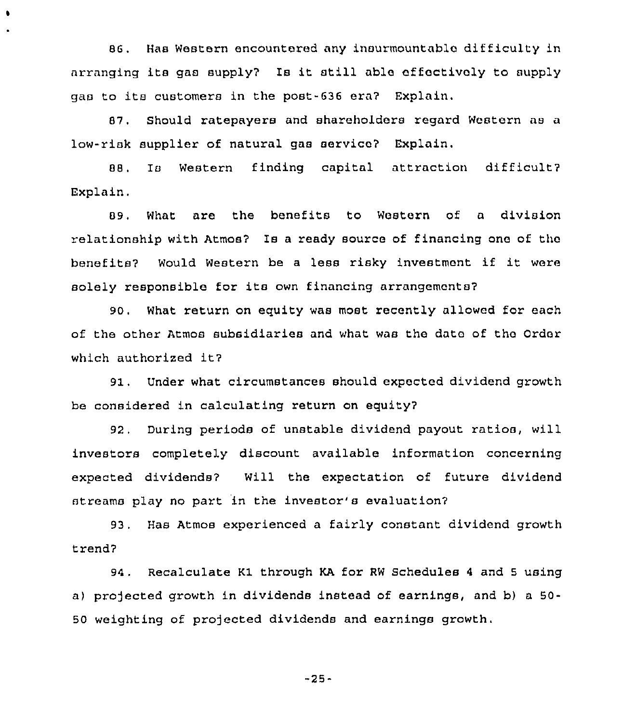86. Has Western encountered any insurmountable difficulty in arranging its gas supply7 Is it still able effectively to supply gas to its customers in the post-636 era? Explain,

 $\bullet$ 

87, Should ratepayers and shareholders regard Western as a low-risk supplier of natural gas service? Explain,

88. Is Western finding capital attraction difficult? Explain,

89. What are the benefits to Western of a division relationship with Atmos? Is a ready source of financing one of the benefits? Would Western be <sup>a</sup> less risky investment if it were solely responsible for its own financing arrangements7

90, What return on equity was most recently allowed for each of the other Atmos subsidiaries and what was the data of the Order which authorized it?

91. Under what circumstances should expected dividend growth be considered in calculating return on equity?

92, During periods of unstable dividend payout ratios, will investors completely discount available information concerning expected dividends? Will the expectation of future dividend streams play no part in the investor's evaluation?

93. Has Atmos experienced a fairly constant dividend growth trend7

94. Recalculate Kl through KA for RW Schedules <sup>4</sup> and <sup>5</sup> using a) projected growth in dividends instead of earnings, and b) a 50-50 weighting of projected dividends and earnings growth,

-25-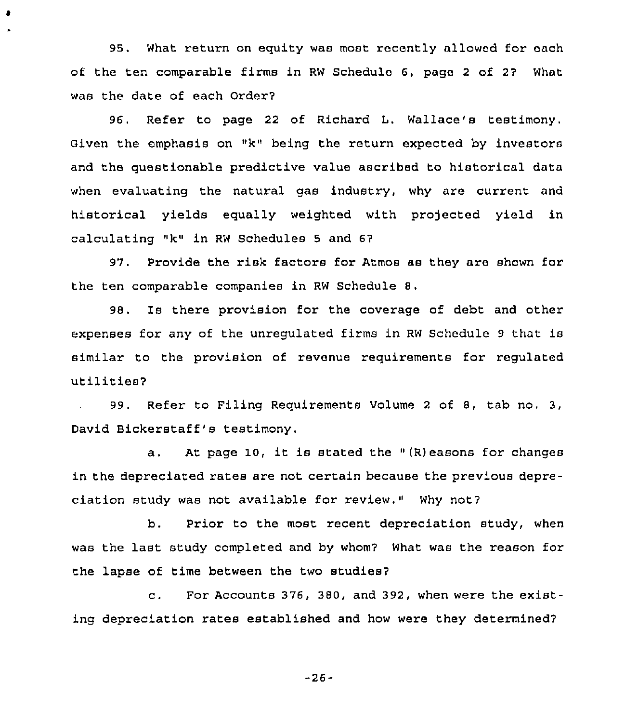95. What return on equity was most recently allowed for each of the ten comparable firms in RW Schedule 6, pago <sup>2</sup> of 27 What was the date of each Order?

 $\bullet$ 

96. Refer to page 22 of Richard L. Wallace's testimony. Given the emphasis on "k" being the return expected by investors and the questionable predictive value ascribed to historical data when evaluating the natural gas industry, why are current and historical yields equally weighted with projected yield in calculating "k" in RW Schedules <sup>5</sup> and 67

97. Provide the risk factors for Atmos as they are shown for the ten comparable companiee in RW Schedule 8.

98. Is there provision for the coverage of debt and other expenses for any of the unregulated firms in RW Schedule <sup>9</sup> that is similar to the provision of revenue requirements for regulated utilities7

99. Refer to Filing Requirements Volume <sup>2</sup> of 8, tab no. 3, David Bickerstaff's testimony.

<sup>a</sup> . At page 10, it is stated the " (R) easons for changes in the depreciated rates are not certain because the previous depreciation study was not available for review." Why not?

b. Prior to the most recent depreciation study, when was the last study completed and by whom? What was the reason for the lapse of time between the two studies?

c. For Accounts 376, 380, and 392, when were the existing depreciation rates established and how were they determined?

-26-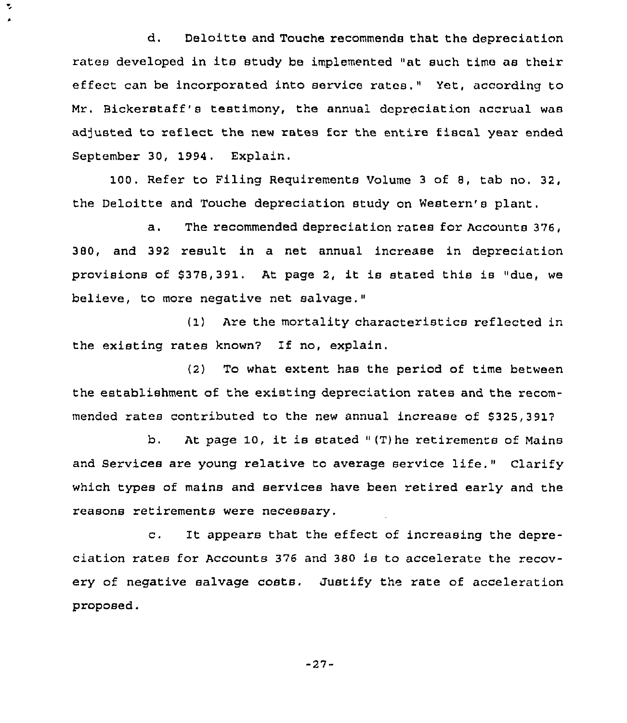d. Deloitte and Touche recommends that the depreciation rates developed in its study be implemented "at such time as their effect can be incorporated into service rates." Yet, according to Mr. Bickerstaff's testimony, the annual depreciation accrual was adjusted to reflect the new rates for the entire fiscal year ended September 30, 1994. Explain.

Y,

100. Refer to Filing Requirements Volume <sup>3</sup> of 8, tab no. 32, the Deloitte and Touche depreciation study on Western's plant.

a. The recommended depreciation rates for Accounts 376, 380, and 392 result in a net annual increase in depreciation provisions of \$378,391. At page 2, it is stated this is "due, we believe, to more negative net salvage."

(1) Are the mortality characteristics reflected in the existing rates known7 If no, explain.

(2) To what extent has the period of time between the establishment of the existing depreciation rates and the recommended rates contributed to the new annual increase of \$325,391?

b. At page 10, it is stated  $(T)$  he retirements of Mains and Services are young relative to average service life." Clarify which types of mains and services have been retired early and the reasons retirements were necessary.

c. It appears that the effect of increasing the depreciation rates for Accounts 376 and 380 is to accelerate the recovery of negative salvage costs. Justify the rate of acceleration proposed.

-27-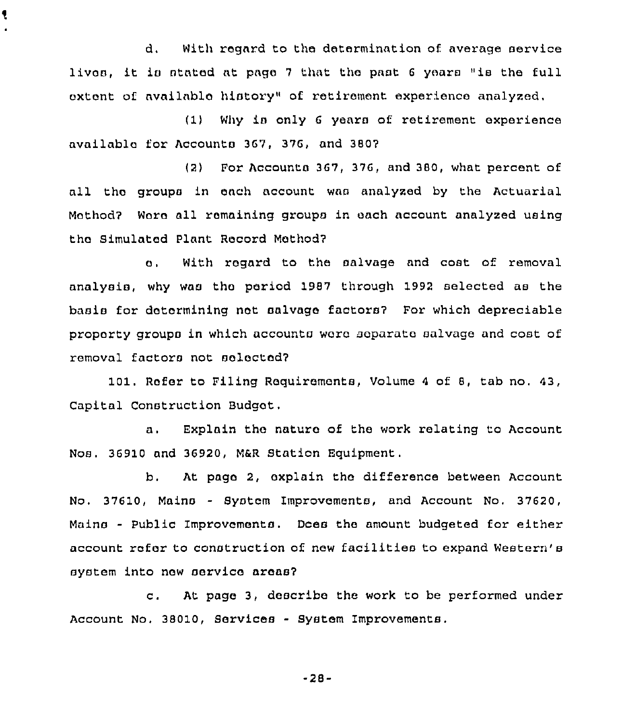d. With regard to tho determination of. average service lives, it is stated at page 7 that the past 6 years "is the full extent of available history" of retirement experience analyzed,

ţ

(1) Why is only <sup>6</sup> years of retirement experience availablo tor Accounts 367, 376, and 3807

(2) For Accounts 367, 376, and 380, what percent of all tho groups in each account was analyzed by the Actuarial Mothod7 Wore all remaining groups in each account analyzed using tho Simulated Plant Record Mothod7

o. With regard to the salvage and coat of removal analysis, why was tho period 1987 through 1992 selected as the basis for dotormining not salvage factors? For which depreciable property groups in which accounts wore separate salvage and cost of removal factors not aoloctod7

101. Rofer to Piling Requirements, Volume <sup>4</sup> of 8, tab no. 43, Capital Construction Budget,

a. Explain the natura of the work relating to Account Nos. 36910 and 36920, M&R Station Equipment.

b. At pago 2, oxplain tho difference between Account No. 37610, Mains - System Improvements, and Account No. 37620, Mains - Public Improvements. Does the amount budgeted for either account rofor to construction of new facilities to expand Western's system into now service areas?

c. At pago 3, describe the work to be performed under Account No. 38010, Services - System Improvements.

-28-